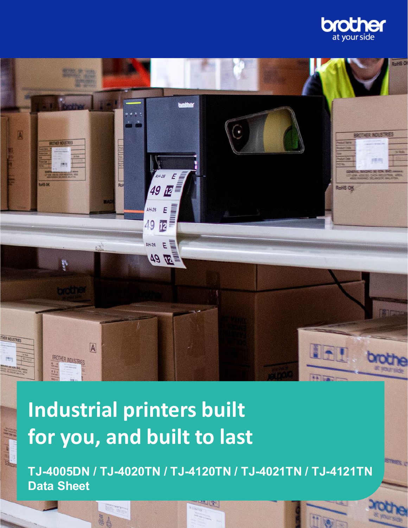



# **Industrial printers built for you, and built to last**

**CONTRACTOR** 

**TJ-4005DN / TJ-4020TN / TJ-4120TN / TJ-4021TN / TJ-4121TN Data Sheet**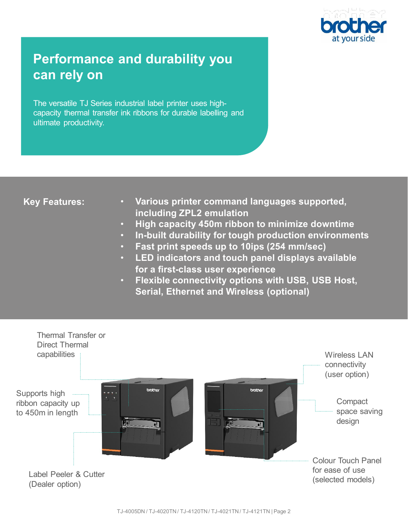

# **Performance and durability you can rely on**

The versatile TJ Series industrial label printer uses highcapacity thermal transfer ink ribbons for durable labelling and ultimate productivity.

# **Key Features:**

- **Various printer command languages supported, including ZPL2 emulation**
- **High capacity 450m ribbon to minimize downtime**
- **In-built durability for tough production environments**
- **Fast print speeds up to 10ips (254 mm/sec)**
- **LED indicators and touch panel displays available for a first-class user experience**
- **Flexible connectivity options with USB, USB Host, Serial, Ethernet and Wireless (optional)**

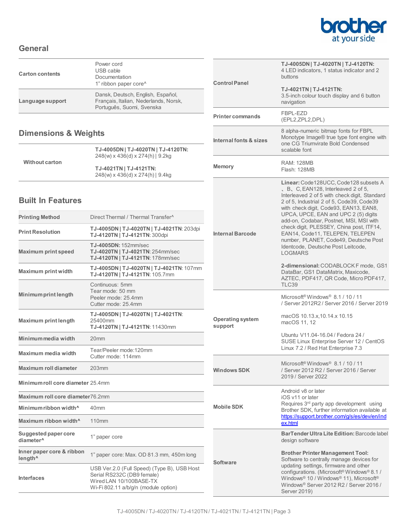

### **General**

| <b>Carton contents</b> | Power cord<br>USB cable<br>Documentation<br>1" ribbon paper core <sup>^</sup>                           |
|------------------------|---------------------------------------------------------------------------------------------------------|
| Language support       | Dansk, Deutsch, English, Español,<br>Français, Italian, Nederlands, Norsk,<br>Português, Suomi, Svenska |

# **Dimensions & Weights**

| <b>Without carton</b> | TJ-4005DN   TJ-4020TN   TJ-4120TN:<br>248(w) x 436(d) x 274(h)   9.2kg |
|-----------------------|------------------------------------------------------------------------|
|                       | TJ-4021TN   TJ-4121TN:<br>248(w) x 436(d) x 274(h)   9.4kg             |

# **Built In Features**

| <b>Printing Method</b>                               | Direct Thermal / Thermal Transfer^                                                                                                           |  |
|------------------------------------------------------|----------------------------------------------------------------------------------------------------------------------------------------------|--|
| <b>Print Resolution</b>                              | TJ-4005DN   TJ-4020TN   TJ-4021TN: 203dpi<br>TJ-4120TN   TJ-4121TN: 300dpi                                                                   |  |
| <b>Maximum print speed</b>                           | TJ-4005DN: 152mm/sec<br>TJ-4020TN   TJ-4021TN: 254mm/sec<br>TJ-4120TN   TJ-4121TN: 178mm/sec                                                 |  |
| Maximum print width                                  | TJ-4005DN   TJ-4020TN   TJ-4021TN: 107mm<br>TJ-4120TN   TJ-4121TN: 105.7mm                                                                   |  |
| Minimum print length                                 | Continuous: 5mm<br>Tear mode: 50 mm<br>Peeler mode: 25.4mm<br>Cutter mode: 25 4mm                                                            |  |
| <b>Maximum print length</b>                          | TJ-4005DN   TJ-4020TN   TJ-4021TN:<br>25400mm<br>TJ-4120TN   TJ-4121TN: 11430mm                                                              |  |
| Minimum media width                                  | 20 <sub>mm</sub>                                                                                                                             |  |
| Maximum media width                                  | Tear/Peeler mode:120mm<br>Cutter mode: 114mm                                                                                                 |  |
| Maximum roll diameter                                | 203mm                                                                                                                                        |  |
| Minimum roll core diameter 25.4mm                    |                                                                                                                                              |  |
| Maximum roll core diameter76.2mm                     |                                                                                                                                              |  |
| Minimum ribbon width <sup>^</sup>                    | 40 <sub>mm</sub>                                                                                                                             |  |
| Maximum ribbon width <sup>^</sup>                    | 110 <sub>mm</sub>                                                                                                                            |  |
| <b>Suggested paper core</b><br>diameter <sup>^</sup> | 1" paper core                                                                                                                                |  |
| Inner paper core & ribbon<br>length <sup>^</sup>     | 1" paper core: Max. OD 81.3 mm, 450m long                                                                                                    |  |
| <b>Interfaces</b>                                    | USB Ver.2.0 (Full Speed) (Type B), USB Host<br>Serial RS232C (DB9 female)<br>Wired LAN 10/100BASE-TX<br>Wi-Fi 802.11 a/b/g/n (module option) |  |

| <b>Control Panel</b>               | TJ-4005DN   TJ-4020TN   TJ-4120TN:<br>4 LED indicators, 1 status indicator and 2<br>buttons                                                                                                                                                                                                                                                                                                                                                                                             |
|------------------------------------|-----------------------------------------------------------------------------------------------------------------------------------------------------------------------------------------------------------------------------------------------------------------------------------------------------------------------------------------------------------------------------------------------------------------------------------------------------------------------------------------|
|                                    | TJ-4021TN   TJ-4121TN:<br>3.5-inch colour touch display and 6 button<br>navigation                                                                                                                                                                                                                                                                                                                                                                                                      |
| <b>Printer commands</b>            | FBPL-EZD<br>(EPL2,ZPL2,DPL)                                                                                                                                                                                                                                                                                                                                                                                                                                                             |
| Internal fonts & sizes             | 8 alpha-numeric bitmap fonts for FBPL<br>Monotype Image® true type font engine with<br>one CG Triumvirate Bold Condensed<br>scalable font                                                                                                                                                                                                                                                                                                                                               |
| <b>Memory</b>                      | <b>RAM: 128MB</b><br><b>Flash: 128MB</b>                                                                                                                                                                                                                                                                                                                                                                                                                                                |
| <b>Internal Barcode</b>            | Linear: Code128UCC, Code128 subsets A<br>, B, C, EAN128, Interleaved 2 of 5,<br>Interleaved 2 of 5 with check digit, Standard<br>2 of 5, Industrial 2 of 5, Code39, Code39<br>with check digit, Code93, EAN13, EAN8,<br>UPCA, UPCE, EAN and UPC 2 (5) digits<br>add-on, Codabar, Postnet, MSI, MSI with<br>check digit, PLESSEY, China post, ITF14,<br>EAN14, Code11, TELEPEN, TELEPEN<br>number. PLANET. Code49. Deutsche Post<br>Identcode, Deutsche Post Leitcode,<br><b>LOGMARS</b> |
|                                    | 2-dimensional: CODABLOCK F mode, GS1<br>DataBar, GS1 DataMatrix, Maxicode,<br>AZTEC, PDF417, QR Code, Micro PDF417,<br><b>TLC39</b>                                                                                                                                                                                                                                                                                                                                                     |
| <b>Operating system</b><br>support | Microsoft <sup>®</sup> Windows <sup>®</sup> 8.1 / 10 / 11<br>/ Server 2012R2 / Server 2016 / Server 2019<br>macOS 10.13.x, 10.14.x 10.15<br>macOS 11, 12<br>Ubuntu V11.04-16.04 / Fedora 24 /<br>SUSE Linux Enterprise Server 12 / CentOS                                                                                                                                                                                                                                               |
|                                    | Linux 7.2 / Red Hat Enterprise 7.3                                                                                                                                                                                                                                                                                                                                                                                                                                                      |
| <b>Windows SDK</b>                 | Microsoft <sup>®</sup> Windows <sup>®</sup> 8.1 / 10 / 11<br>/ Server 2012 R2 / Server 2016 / Server<br>2019 / Server 2022                                                                                                                                                                                                                                                                                                                                                              |
| <b>Mobile SDK</b>                  | Android v8 or later<br>iOS v11 or later<br>Requires 3rd party app development using<br>Brother SDK, further information available at<br>https://support.brother.com/g/s/es/dev/en/ind<br>ex.html                                                                                                                                                                                                                                                                                        |
| <b>Software</b>                    | BarTender Ultra Lite Edition: Barcode label<br>design software<br><b>Brother Printer Management Tool:</b><br>Software to centrally manage devices for<br>updating settings, firmware and other<br>configurations. (Microsoft <sup>®</sup> Windows <sup>®</sup> 8.1 /<br>Windows <sup>®</sup> 10 / Windows <sup>®</sup> 11), Microsoft <sup>®</sup><br>Windows® Server 2012 R2 / Server 2016 /                                                                                           |
|                                    | Server 2019)                                                                                                                                                                                                                                                                                                                                                                                                                                                                            |